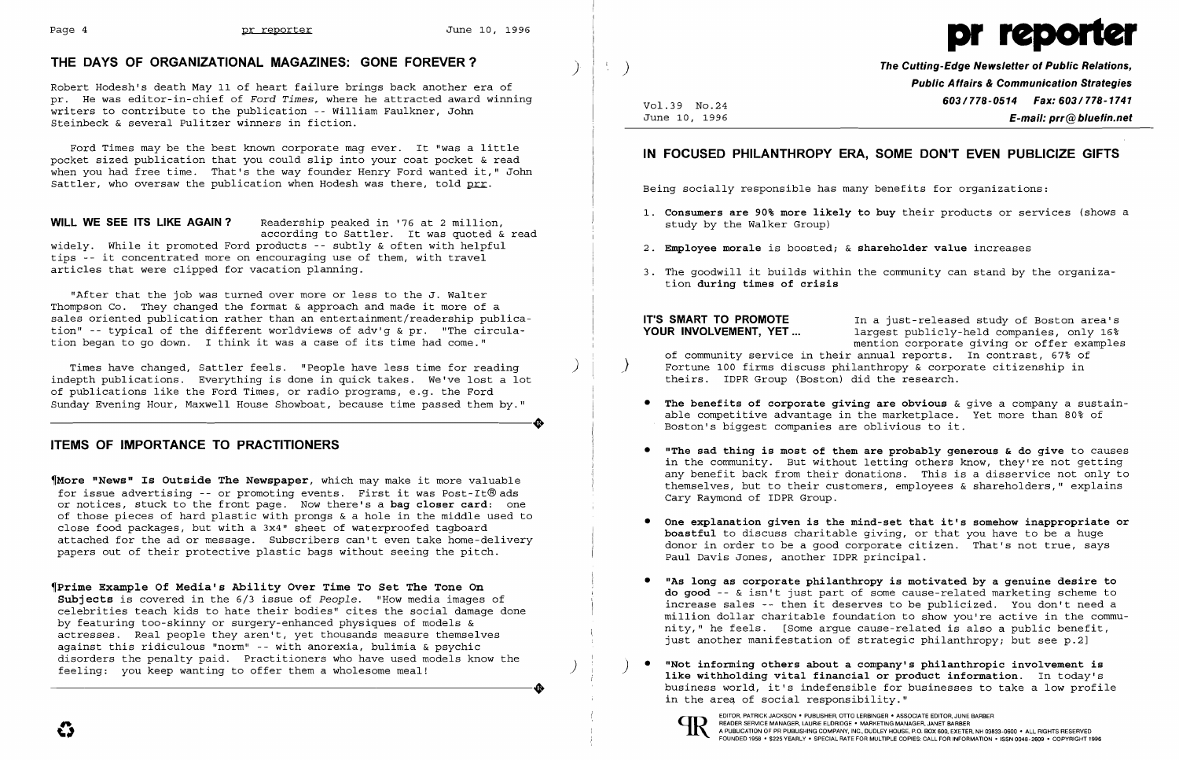

# THE DAYS OF ORGANIZATIONAL MAGAZINES: GONE FOREVER? )

Ford Times may be the best known corporate mag ever. It "was a little pocket sized publication that you could slip into your coat pocket & read when you had free time. That's the way founder Henry Ford wanted it," John Sattler, who oversaw the publication when Hodesh was there, told prr.

Robert Hodesh's death May 11 of heart failure brings back another era of pr. He was editor-in-chief of *Ford Times*, where he attracted award winning writers to contribute to the publication -- William Faulkner, John Steinbeck & several Pulitzer winners in fiction.

WILL WE SEE ITS LIKE AGAIN? Readership peaked in '76 at 2 million, according to Sattler. It was quoted & read widely. While it promoted Ford products -- subtly & often with helpful tips -- it concentrated more on encouraging use of them, with travel articles that were clipped for vacation planning.

~Prime Example Of Media's Ability Over Time To Set The Tone On Subjects is covered in the 6/3 issue of *People.* "How media images of celebrities teach kids to hate their bodies" cites the social damage done by featuring too-skinny or surgery-enhanced physiques of models & actresses. Real people they aren't, yet thousands measure themselves against this ridiculous "norm" -- with anorexia, bulimia & psychic disorders the penalty paid. Practitioners who have used models know the the model of the model of the model of<br>
feeling: you keep wanting to offer them a wholesome meal!<br> **a**<br> **a**<br> **a**<br> **a**<br> **a**<br>
business world, it's indef disorders the penalty paid. Practitioners who have used models know the feeling: you keep wanting to offer them a wholesome meal!<br>  $\begin{matrix}\n\text{else} \\
\text{else} \\
\text{else}\n\end{matrix}$   $\begin{matrix}\n\text{else} \\
\text{else}\n\end{matrix}$   $\begin{matrix}\n\text{else} \\
\text{else}\n\end{matrix}$   $\begin{matrix}\n$ 

"After that the job was turned over more or less to the J. Walter Thompson Co. They changed the format & approach and made it more of a sales oriented publication rather than an entertainment/readership publication" -- typical of the different worldviews of adv'g & pr. "The circulation began to go down. I think it was a case of its time had come."

Times have changed, Sattler feels. "People have less time for reading ) indepth publications. Everything is done in quick takes. We've lost a lot of publications like the Ford Times, or radio programs, e.g. the Ford<br>Sunday Evening Hour, Maxwell House Showboat, because time passed them by." Sunday Evening Hour, Maxwell House Showboat, because time passed them by."

# ITEMS OF IMPORTANCE TO PRACTITIONERS

• The benefits of corporate giving are obvious  $\&$  give a company a sustainable competitive advantage in the marketplace. Yet more than 80% of

~More "News" Is Outside The Newspaper, which may make it more valuable for issue advertising -- or promoting events. First it was Post-It®ads or notices, stuck to the front page. Now there's a bag closer card: one of those pieces of hard plastic with prongs & a hole in the middle used to close food packages, but with a 3x4" sheet of waterproofed tagboard attached for the ad or message. Subscribers can't even take home-delivery papers out of their protective plastic bags without seeing the pitch.

Vo1.39 NO.24 June 10, 1996

 $\left\langle \cdot \right\rangle$ 

The Cutting-Edge Newsletter of Public Relations, Public Aflairs & Communication Strategies 603/778-0514 Fax: 603/778-1741 E-mail: prr@bluefin.net

1. Consumers are 90% more likely to buy their products or services (shows a

# IN FOCUSED PHILANTHROPY ERA, SOME DON'T EVEN PUBLICIZE GIFTS

Being socially responsible has many benefits for organizations:

- study by the Walker Group)
- 2. Employee morale is boosted;  $\&$  shareholder value increases
- tion during times of crisis

IT'S SMART TO PROMOTE in a just-released study of Boston area's<br>
YOUR INVOLVEMENT. YET... largest publicly-held companies. only 16% largest publicly-held companies, only 16% mention corporate giving or offer examples of community service in their annual reports. In contrast, 67% of ) Fortune 100 firms discuss philanthropy & corporate citizenship in theirs. IDPR Group (Boston) did the research.

3. The goodwill it builds within the community can stand by the organiza-

• "The sad thing is most of them are probably generous & do give to causes in the community. But without letting others know, they're not getting any benefit back from their donations. This is a disservice not only to themselves, but to their customers, employees & shareholders," explains

• One explanation given is the mind-set that it's somehow inappropriate or boastful to discuss charitable giving, or that you have to be a huge donor in order to be a good corporate citizen. That's not true, says

"As long as corporate philanthropy is motivated by a genuine desire to do good -- & isn't just part of some cause-related marketing scheme to increase sales -- then it deserves to be publicized. You don't need a million dollar charitable foundation to show you're active in the community," he feels. [Some argue cause-related is also a public benefit, just another manifestation of strategic philanthropy; but see p.2]

- Boston's biggest companies are oblivious to it.
- Cary Raymond of IDPR Group.
- Paul Davis Jones, another IDPR principal.
- 
- in the area of social responsibility."

EDITOR, PATRICK JACKSON • PUBLISHER, OTTO LERBINGER • ASSOCIATE EDITOR, JUNE BARBER<br>READER SERVICE MANAGER, LAURIE ELDRIDGE • MARKETING MANAGER, JANET BARBER